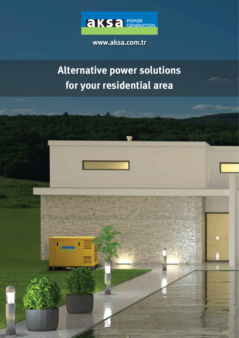

**www.aksa.com.tr**

# **Alternative power solutions for your residential area**

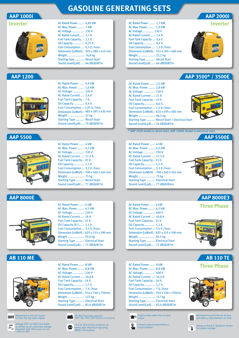# **GASOLINE GENERATING SETS**

## **AAP 1000i**

|  |  |  |  |  | $\mathbb{R}^n$ |  | $\mathbb{R}^n$ |  |
|--|--|--|--|--|----------------|--|----------------|--|
|--|--|--|--|--|----------------|--|----------------|--|

AC Rated Power ......: 0,85 kW AC Max. Power........: 1 kW AC Voltage..............: 230 V AC Rated Current.....: 3,7 A Fuel Tank Capacity ..: 2,1 lt. Oil Capacity ............: 0,25 lt. Fuel Consumption...: 0,5 lt./hour Dimension (LxWxH).: 505 x 280 x 410 mm Weight....................: 14,8 kg Starting Type ..........: Recoil Start Sound Level(LpA) ...: 64 dB(A)@7m

#### **AAP 1200**



AC Rated Power ....: 0,9 kW AC Max. Power ......: 1,0 kW AC Voltage ............: 230 V AC Rated Current ...: 3,4 A Fuel Tank Capacity : 7 lt. Oil Capacity ...........: 0,4 lt. Fuel Consumption .: 1,05 lt./hour Dimension (LxWxH).: 485 x 395 x 430 mm Weight ..................: 27 kg Starting Type .........: Recoil Start Sound Level(LpA)...: 75 dB(A)@7m

#### **AAP 5500**



AC Rated Power .....: 4 kW AC Max. Power .......: 4,5 kW AC Voltage .............: 230 V AC Rated Current ...: 17,3 A Fuel Tank Capacity.: 25 lt. Oil Capacity............: 1,1 lt. Fuel Consumption..: 3,3 lt./hour Dimension (LxWxH).: 700 x 560 x 565 mm Weight ...................: 73 kg Starting Type .........: Recoil Start Sound Level(LpA)...: 77 dB(A)@7m

AC Rated Power .....: 6 kW AC Max. Power .......: 6,5 kW AC Voltage .............: 230 V AC Rated Current ...: 26 A Fuel Tank Capacity.: 31 lt. Oil Capacity (lt ) .....: 1,1 lt. Fuel Consumption..: 3,5 lt./hour Dimension (LxWxH).: 825 x 555 x 590 mm

Weight ...................: 92,6 kg Starting Type .........: Electrical Start Sound Level(LpA)...: 77 dB(A)@7m

#### **AAP 8000E**



**AB 110 ME**



Maintenance and use easier to from the top valve engine

Voltage 230 V or 400 V at a fixed  $\frac{AVR}{\Delta}$ to remain as an automatic voltage regulator (AAP 1000 models are with condenser AVR)





| AC RALEU POWEI : I./ KW                |
|----------------------------------------|
| AC Max. Power: 1,9 kW                  |
| AC Voltage 230 V                       |
| AC Rated Current: 7,4 A                |
| Fuel Tank Capacity : 3,6 lt.           |
| Oil Capacity : 0,4 lt.                 |
| Fuel Consumption : 1,3 lt./hour        |
| Dimension (LxWxH).: 555 x 305 x 460 mm |
| Weight: 22,2 kg                        |
| <b>Starting Type : Recoil Start</b>    |
| Sound Level(LpA) : 64 dB(A)@7m         |
|                                        |

AC Rated Power ......: 1,7 kW



**Inverter**

**AAP 2000i**

## **AAP 3500\* / 3500E**

| AC Rated Power : 2,5 kW                |                                                        |
|----------------------------------------|--------------------------------------------------------|
| AC Max. Power: 2,8 kW                  |                                                        |
| AC Voltage : 230 V                     |                                                        |
| AC Rated Current : 11 A                |                                                        |
| Fuel Tank Capacity.: 15 lt.            |                                                        |
| Oil Capacity: 0,6 lt.                  |                                                        |
| Fuel Consumption: 1,5 lt./hour         |                                                        |
| Dimension (LxWxH).: 610 x 495 x 485 mm |                                                        |
| Weight: 46,5 kg                        |                                                        |
|                                        | <b>Starting Type : Recoil Start / Electrical Start</b> |
| Sound Level(LpA): 76 dB(A)@7m          |                                                        |
|                                        |                                                        |

\* AAP 3500 model is recoil start, AAP 3500E model is electrical start.

#### **AAP 5500E** AC Rated Power .....: 4 kW AC Max. Power .......: 4,5 kW AC Voltage .............: 230 V AC Rated Current ...: 17,3 A Fuel Tank Capacity.: 25 lt. Oil Capacity............: 1,1 lt. Fuel Consumption..: 3,3 lt./hour Dimension (LxWxH).: 700 x 560 x 565 mm Weight ...................: 73 kg Starting Type .........: Electrical Start Sound Level(LpA)...: 77 dB(A)@4m

AC Rated Power .....: 6 kW AC Max. Power .......: 6,5 kW AC Voltage .............: 400 V AC Rated Current ...: 10,8 A Fuel Tank Capacity.: 31 lt. Oil Capacity............: 1,1 lt. Fuel Consumption..: 3,5 lt./hour Dimension (LxWxH).: 825 x 555 x 590 mm Weight ...................: 93,5 kg Starting Type .........: Electrical Start Sound Level(LpA)...: 73 dB(A)@7m



**Three Phase AAP 8000E3**

**AB 110 TE**

**Three Phase**

| AC Rated Power : 8 kW                   |  |
|-----------------------------------------|--|
| AC Max. Power: 8,8 kW                   |  |
| AC Voltage : 400 V                      |  |
| AC Rated Current : 14,4 A               |  |
| Fuel Tank Capacity.: 16 lt.             |  |
| Oil Capacity: 1,7 lt.                   |  |
| Fuel Consumption: 7 lt./hour            |  |
| Dimension (LxWxH).: 910 x 740 x 750mm   |  |
| Weight : 117 kg                         |  |
| <b>Starting Type : Electrical Start</b> |  |
| Sound Level(LpA): 82,6 dB(A)@7m         |  |
|                                         |  |

Engine stops when the oil level  $\mathbf{r}$ is low.







Current output protected by a circuit breaker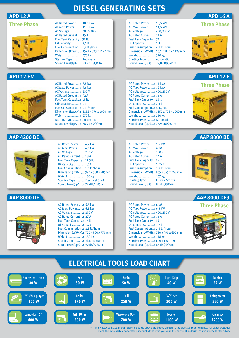## **DIESEL GENERATING SETS**

### **APD 12 A**

|  | l hree | $\bullet$<br>ee Phas |  |  |  |
|--|--------|----------------------|--|--|--|
|--|--------|----------------------|--|--|--|

| AC Voltage : 400/230 V           |                                          |
|----------------------------------|------------------------------------------|
| AC Rated Current : 15 A          |                                          |
| Fuel Tank Capacity.: 32 lt.      |                                          |
| Oil Capacity: 4,5 lt.            |                                          |
| Fuel Consumption: 3,4 lt./hour   |                                          |
|                                  | Dimension (LxWxH).: 1522 x 823 x 1127 mm |
| Weight : 470 kg                  |                                          |
| <b>Starting Type : Automatic</b> |                                          |
| Sound Level(LpA): 83,7 dB(A)@1m  |                                          |
|                                  |                                          |

#### **APD 12 EM**



AC Max. Power .......: 9,6 kW AC Voltage .............: 230 V AC Rated Current ...: 42 A Fuel Tank Capacity.: 15 lt. Oil Capacity............: 4 lt. Fuel Consumption..: 4 lt./hour Dimension (LxWxH).: 1152 x 776 x 1000 mm Weight ...................: 270 kg Starting Type .........: Automatic Sound Level(LpA)...: 78,9 dB(A)@7m

AC Rated Power .....: 8,8 kW

AC Rated Power .....: 10,6 kVA AC Max. Power .......: 11,5 kVA

#### **AAP 4200 DE**



AC Max. Power .......: 4,5 kW AC Voltage .............: 230 V AC Rated Current ...: 18 A Fuel Tank Capacity.: 12,5 lt. Oil Capacity............: 1,65 lt. Fuel Consumption..: 1,5 lt./hour Dimension (LxWxH).: 970 x 580 x 785mm Weight ...................: 186 kg Starting Type .........: Electrical Start Sound Level(LpA)...: 74 dB(A)@7m

AC Rated Power .....: 4,2 kW

#### **AAP 8000 DE**



AC Rated Power .....: 6,3 kW AC Max. Power .......: 6,8 kW AC Voltage .............: 230 V AC Rated Current ...: 27 A Fuel Tank Capacity.: 16 lt. Oil Capacity............: 1,75 lt. Fuel Consumption..: 2,8 lt./hour Dimension (LxWxH).: 720 x 500 x 770 mm Weight ...................: 130 kg Starting Type .........: Electric Starter Sound Level(LpA)...: 92 dB(A)@7m

| AC Rated Power : 15,5 kVA                |
|------------------------------------------|
| AC Max. Power: 14,5 kVA                  |
| AC Voltage : 400/230 V                   |
| AC Rated Current : 21 A                  |
| Fuel Tank Capacity.: 32 lt.              |
| Oil Capacity: 5 lt.                      |
| Fuel Consumption: 4,1 lt./hour           |
| Dimension (LxWxH).: 1672 x 823 x 1127 mm |
| Weight : 520 kg                          |
| <b>Starting Type : Automatic</b>         |
| Sound Level(LpA): 79,8 dB(A)@1m          |
|                                          |

**Three Phase**

**APD 16 A**

**APD 12 E**



#### AC Rated Power .....: 11 kVA AC Max. Power .......: 12 kVA AC Voltage .............: 400/230 V AC Rated Current ...: 16 A Fuel Tank Capacity.: 15 lt. Oil Capacity............: 2,3 lt. Fuel Consumption..: 4 lt./hour Dimension (LxWxH).: 1152 x 776 x 1000 mm Weight ...................: 250 kg Starting Type .........: Automatic Sound Level(LpA)...: 78,9 dB(A)@7m **Three Phase**



| AC Rated Power : 5,5 kW                 |  |
|-----------------------------------------|--|
| AC Max. Power: 6 kW                     |  |
| AC Voltage : 230 V                      |  |
| AC Rated Current : 24 A                 |  |
| Fuel Tank Capacity.: 15 lt.             |  |
| Oil Capacity: 1,75 lt.                  |  |
| Fuel Consumption: 2,8 lt./hour          |  |
| Dimension (LxWxH).: 865 x 555 x 765 mm  |  |
| Weight 167 kg                           |  |
| <b>Starting Type : Electric Starter</b> |  |
| Sound Level(LpA): 80 dB(A)@7m           |  |
|                                         |  |



| AC Rated Power : 6 kW<br>AC Max. Power: 6,5 kW<br>AC Voltage : 400/230 V<br>AC Rated Current : 16 A<br>Fuel Tank Capacity.: 15 lt.<br>Oil Capacity: 1,7 lt.<br>Fuel Consumption: 2,4 lt./hour<br>Dimension (LxWxH).: 730 x 490 x 690 mm<br>Weight : 118 kg |  |
|------------------------------------------------------------------------------------------------------------------------------------------------------------------------------------------------------------------------------------------------------------|--|
| <b>Starting Type : Electric Starter</b><br>Sound Level(LpA): 88 dB(A)@7m                                                                                                                                                                                   |  |



**AAP 8000 DE3**



• The wattages listed in our reference guide above are based on estimated wattage requirements. For exact wattages, check the data plate or operator's manual of the item you wish the power. If in doubt, ask your reseller for advice.